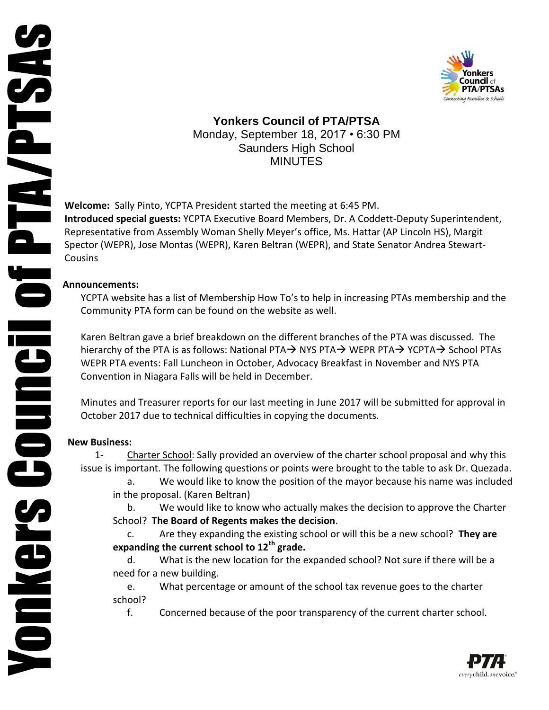



**Yonkers Council of PTA/PTSA** Monday, September 18, 2017 • 6:30 PM Saunders High School MINUTES

**Welcome:** Sally Pinto, YCPTA President started the meeting at 6:45 PM. **Introduced special guests:** YCPTA Executive Board Members, Dr. A Coddett-Deputy Superintendent, Representative from Assembly Woman Shelly Meyer's office, Ms. Hattar (AP Lincoln HS), Margit Spector (WEPR), Jose Montas (WEPR), Karen Beltran (WEPR), and State Senator Andrea Stewart-**Cousins** 

## **Announcements:**

YCPTA website has a list of Membership How To's to help in increasing PTAs membership and the Community PTA form can be found on the website as well.

Karen Beltran gave a brief breakdown on the different branches of the PTA was discussed. The hierarchy of the PTA is as follows: National PTA $\rightarrow$  NYS PTA $\rightarrow$  WEPR PTA $\rightarrow$  YCPTA $\rightarrow$  School PTAs WEPR PTA events: Fall Luncheon in October, Advocacy Breakfast in November and NYS PTA Convention in Niagara Falls will be held in December.

Minutes and Treasurer reports for our last meeting in June 2017 will be submitted for approval in October 2017 due to technical difficulties in copying the documents.

## **New Business:**

1- Charter School: Sally provided an overview of the charter school proposal and why this issue is important. The following questions or points were brought to the table to ask Dr. Quezada.

a. We would like to know the position of the mayor because his name was included in the proposal. (Karen Beltran)

b. We would like to know who actually makes the decision to approve the Charter School? **The Board of Regents makes the decision**.

c. Are they expanding the existing school or will this be a new school? **They are expanding the current school to 12th grade.**

d. What is the new location for the expanded school? Not sure if there will be a need for a new building.

e. What percentage or amount of the school tax revenue goes to the charter school?

f. Concerned because of the poor transparency of the current charter school.

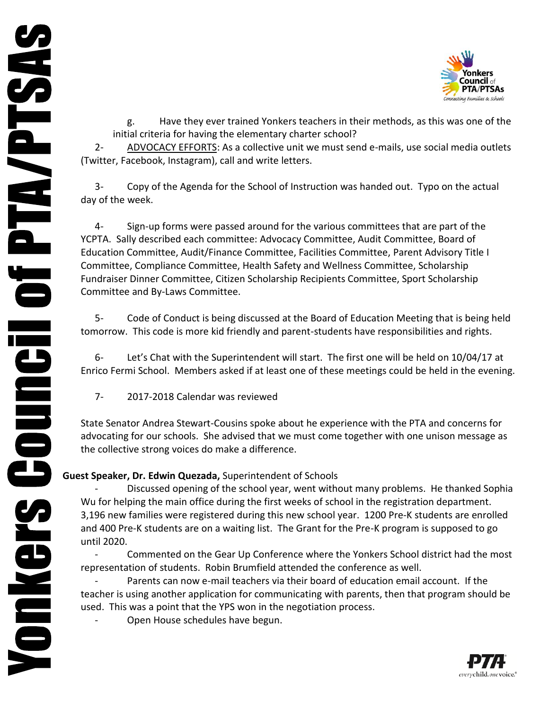

g. Have they ever trained Yonkers teachers in their methods, as this was one of the initial criteria for having the elementary charter school?

2- ADVOCACY EFFORTS: As a collective unit we must send e-mails, use social media outlets (Twitter, Facebook, Instagram), call and write letters.

3- Copy of the Agenda for the School of Instruction was handed out. Typo on the actual day of the week.

4- Sign-up forms were passed around for the various committees that are part of the YCPTA. Sally described each committee: Advocacy Committee, Audit Committee, Board of Education Committee, Audit/Finance Committee, Facilities Committee, Parent Advisory Title I Committee, Compliance Committee, Health Safety and Wellness Committee, Scholarship Fundraiser Dinner Committee, Citizen Scholarship Recipients Committee, Sport Scholarship Committee and By-Laws Committee.

5- Code of Conduct is being discussed at the Board of Education Meeting that is being held tomorrow. This code is more kid friendly and parent-students have responsibilities and rights.

6- Let's Chat with the Superintendent will start. The first one will be held on 10/04/17 at Enrico Fermi School. Members asked if at least one of these meetings could be held in the evening.

7- 2017-2018 Calendar was reviewed

State Senator Andrea Stewart-Cousins spoke about he experience with the PTA and concerns for advocating for our schools. She advised that we must come together with one unison message as the collective strong voices do make a difference.

## **Guest Speaker, Dr. Edwin Quezada,** Superintendent of Schools

Discussed opening of the school year, went without many problems. He thanked Sophia Wu for helping the main office during the first weeks of school in the registration department. 3,196 new families were registered during this new school year. 1200 Pre-K students are enrolled and 400 Pre-K students are on a waiting list. The Grant for the Pre-K program is supposed to go until 2020.

Commented on the Gear Up Conference where the Yonkers School district had the most representation of students. Robin Brumfield attended the conference as well.

Parents can now e-mail teachers via their board of education email account. If the teacher is using another application for communicating with parents, then that program should be used. This was a point that the YPS won in the negotiation process.

Open House schedules have begun.